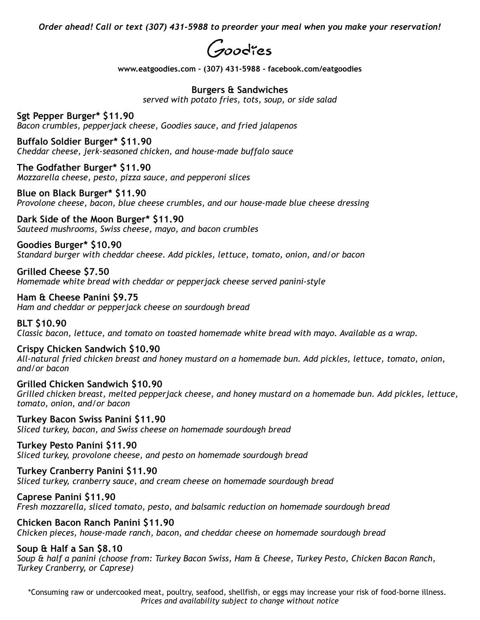*Order ahead! Call or text (307) 431-5988 to preorder your meal when you make your reservation!*



**www.[eatgoodies.com](http://eatgoodies.com) - (307) 431-5988 - facebook.com/eatgoodies** 

### **Burgers & Sandwiches**

*served with potato fries, tots, soup, or side salad* 

**Sgt Pepper Burger\* \$11.90**  *Bacon crumbles, pepperjack cheese, Goodies sauce, and fried jalapenos* 

**Buffalo Soldier Burger\* \$11.90**  *Cheddar cheese, jerk-seasoned chicken, and house-made buffalo sauce* 

**The Godfather Burger\* \$11.90**  *Mozzarella cheese, pesto, pizza sauce, and pepperoni slices* 

**Blue on Black Burger\* \$11.90**  *Provolone cheese, bacon, blue cheese crumbles, and our house-made blue cheese dressing* 

**Dark Side of the Moon Burger\* \$11.90**  *Sauteed mushrooms, Swiss cheese, mayo, and bacon crumbles* 

**Goodies Burger\* \$10.90**  *Standard burger with cheddar cheese. Add pickles, lettuce, tomato, onion, and/or bacon* 

**Grilled Cheese \$7.50**  *Homemade white bread with cheddar or pepperjack cheese served panini-style* 

**Ham & Cheese Panini \$9.75**  *Ham and cheddar or pepperjack cheese on sourdough bread* 

**BLT \$10.90**  *Classic bacon, lettuce, and tomato on toasted homemade white bread with mayo. Available as a wrap.* 

**Crispy Chicken Sandwich \$10.90**  *All-natural fried chicken breast and honey mustard on a homemade bun. Add pickles, lettuce, tomato, onion, and/or bacon* 

**Grilled Chicken Sandwich \$10.90**  *Grilled chicken breast, melted pepperjack cheese, and honey mustard on a homemade bun. Add pickles, lettuce, tomato, onion, and/or bacon* 

**Turkey Bacon Swiss Panini \$11.90**  *Sliced turkey, bacon, and Swiss cheese on homemade sourdough bread* 

**Turkey Pesto Panini \$11.90** 

*Sliced turkey, provolone cheese, and pesto on homemade sourdough bread* 

# **Turkey Cranberry Panini \$11.90**

*Sliced turkey, cranberry sauce, and cream cheese on homemade sourdough bread* 

**Caprese Panini \$11.90** 

*Fresh mozzarella, sliced tomato, pesto, and balsamic reduction on homemade sourdough bread* 

#### **Chicken Bacon Ranch Panini \$11.90**

*Chicken pieces, house-made ranch, bacon, and cheddar cheese on homemade sourdough bread* 

## **Soup & Half a San \$8.10**

*Soup & half a panini (choose from: Turkey Bacon Swiss, Ham & Cheese, Turkey Pesto, Chicken Bacon Ranch, Turkey Cranberry, or Caprese)* 

\*Consuming raw or undercooked meat, poultry, seafood, shellfish, or eggs may increase your risk of food-borne illness. *Prices and availability subject to change without notice*